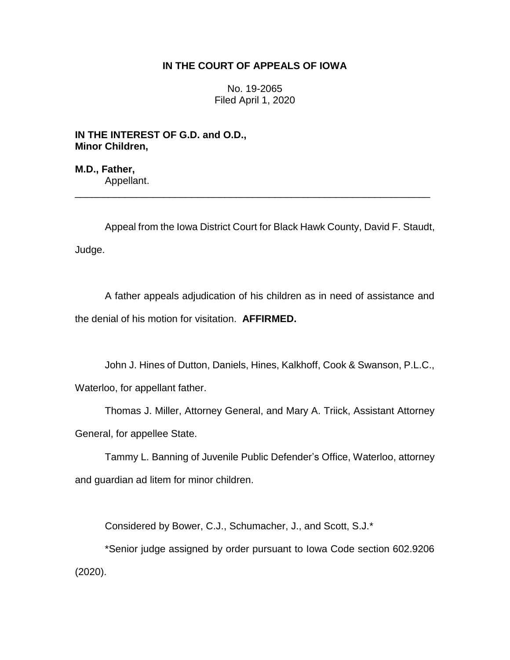# **IN THE COURT OF APPEALS OF IOWA**

No. 19-2065 Filed April 1, 2020

**IN THE INTEREST OF G.D. and O.D., Minor Children,**

**M.D., Father,** Appellant.

Appeal from the Iowa District Court for Black Hawk County, David F. Staudt, Judge.

\_\_\_\_\_\_\_\_\_\_\_\_\_\_\_\_\_\_\_\_\_\_\_\_\_\_\_\_\_\_\_\_\_\_\_\_\_\_\_\_\_\_\_\_\_\_\_\_\_\_\_\_\_\_\_\_\_\_\_\_\_\_\_\_

A father appeals adjudication of his children as in need of assistance and the denial of his motion for visitation. **AFFIRMED.** 

John J. Hines of Dutton, Daniels, Hines, Kalkhoff, Cook & Swanson, P.L.C., Waterloo, for appellant father.

Thomas J. Miller, Attorney General, and Mary A. Triick, Assistant Attorney General, for appellee State.

Tammy L. Banning of Juvenile Public Defender's Office, Waterloo, attorney and guardian ad litem for minor children.

Considered by Bower, C.J., Schumacher, J., and Scott, S.J.\*

\*Senior judge assigned by order pursuant to Iowa Code section 602.9206 (2020).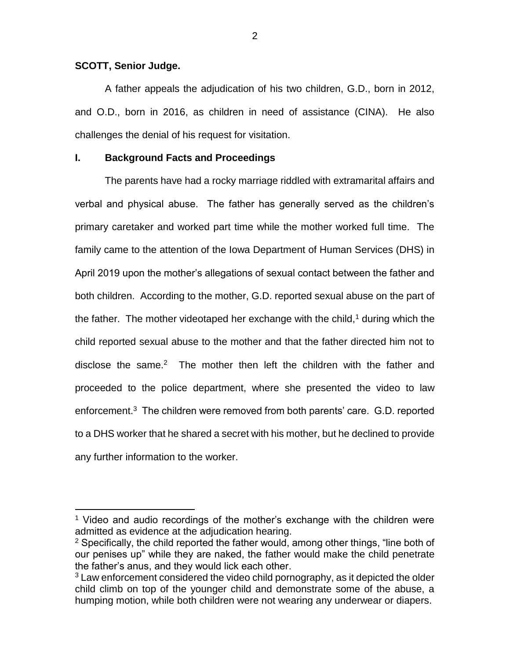### **SCOTT, Senior Judge.**

 $\overline{a}$ 

A father appeals the adjudication of his two children, G.D., born in 2012, and O.D., born in 2016, as children in need of assistance (CINA). He also challenges the denial of his request for visitation.

## **I. Background Facts and Proceedings**

The parents have had a rocky marriage riddled with extramarital affairs and verbal and physical abuse. The father has generally served as the children's primary caretaker and worked part time while the mother worked full time. The family came to the attention of the Iowa Department of Human Services (DHS) in April 2019 upon the mother's allegations of sexual contact between the father and both children. According to the mother, G.D. reported sexual abuse on the part of the father. The mother videotaped her exchange with the child,<sup>1</sup> during which the child reported sexual abuse to the mother and that the father directed him not to disclose the same.<sup>2</sup> The mother then left the children with the father and proceeded to the police department, where she presented the video to law enforcement.<sup>3</sup> The children were removed from both parents' care. G.D. reported to a DHS worker that he shared a secret with his mother, but he declined to provide any further information to the worker.

<sup>&</sup>lt;sup>1</sup> Video and audio recordings of the mother's exchange with the children were admitted as evidence at the adjudication hearing.

 $2$  Specifically, the child reported the father would, among other things, "line both of our penises up" while they are naked, the father would make the child penetrate the father's anus, and they would lick each other.

 $3$  Law enforcement considered the video child pornography, as it depicted the older child climb on top of the younger child and demonstrate some of the abuse, a humping motion, while both children were not wearing any underwear or diapers.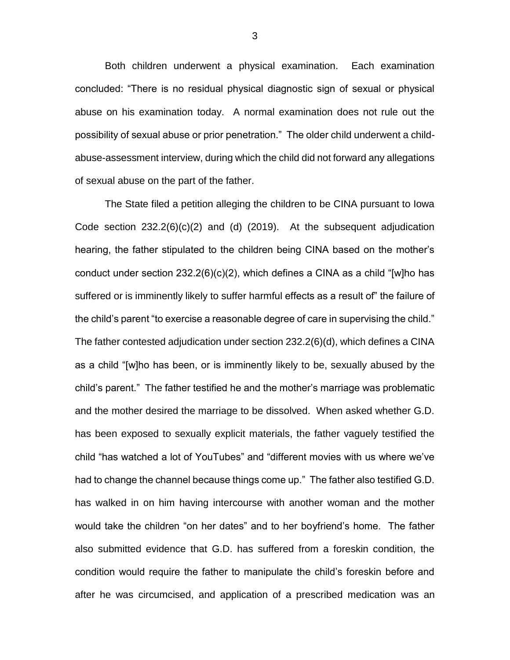Both children underwent a physical examination. Each examination concluded: "There is no residual physical diagnostic sign of sexual or physical abuse on his examination today. A normal examination does not rule out the possibility of sexual abuse or prior penetration." The older child underwent a childabuse-assessment interview, during which the child did not forward any allegations of sexual abuse on the part of the father.

The State filed a petition alleging the children to be CINA pursuant to Iowa Code section  $232.2(6)(c)(2)$  and (d) (2019). At the subsequent adjudication hearing, the father stipulated to the children being CINA based on the mother's conduct under section 232.2(6)(c)(2), which defines a CINA as a child "[w]ho has suffered or is imminently likely to suffer harmful effects as a result of" the failure of the child's parent "to exercise a reasonable degree of care in supervising the child." The father contested adjudication under section 232.2(6)(d), which defines a CINA as a child "[w]ho has been, or is imminently likely to be, sexually abused by the child's parent." The father testified he and the mother's marriage was problematic and the mother desired the marriage to be dissolved. When asked whether G.D. has been exposed to sexually explicit materials, the father vaguely testified the child "has watched a lot of YouTubes" and "different movies with us where we've had to change the channel because things come up." The father also testified G.D. has walked in on him having intercourse with another woman and the mother would take the children "on her dates" and to her boyfriend's home. The father also submitted evidence that G.D. has suffered from a foreskin condition, the condition would require the father to manipulate the child's foreskin before and after he was circumcised, and application of a prescribed medication was an

3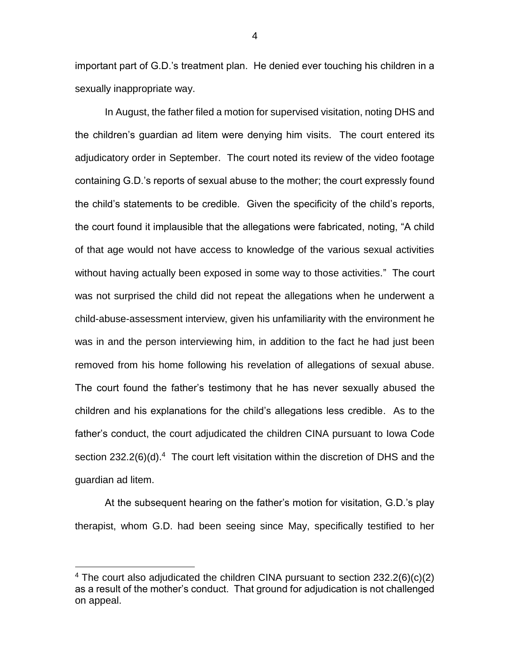important part of G.D.'s treatment plan. He denied ever touching his children in a sexually inappropriate way.

In August, the father filed a motion for supervised visitation, noting DHS and the children's guardian ad litem were denying him visits. The court entered its adjudicatory order in September. The court noted its review of the video footage containing G.D.'s reports of sexual abuse to the mother; the court expressly found the child's statements to be credible. Given the specificity of the child's reports, the court found it implausible that the allegations were fabricated, noting, "A child of that age would not have access to knowledge of the various sexual activities without having actually been exposed in some way to those activities." The court was not surprised the child did not repeat the allegations when he underwent a child-abuse-assessment interview, given his unfamiliarity with the environment he was in and the person interviewing him, in addition to the fact he had just been removed from his home following his revelation of allegations of sexual abuse. The court found the father's testimony that he has never sexually abused the children and his explanations for the child's allegations less credible. As to the father's conduct, the court adjudicated the children CINA pursuant to Iowa Code section  $232.2(6)(d).<sup>4</sup>$  The court left visitation within the discretion of DHS and the guardian ad litem.

At the subsequent hearing on the father's motion for visitation, G.D.'s play therapist, whom G.D. had been seeing since May, specifically testified to her

 $\overline{a}$ 

4

<sup>&</sup>lt;sup>4</sup> The court also adjudicated the children CINA pursuant to section  $232.2(6)(c)(2)$ as a result of the mother's conduct. That ground for adjudication is not challenged on appeal.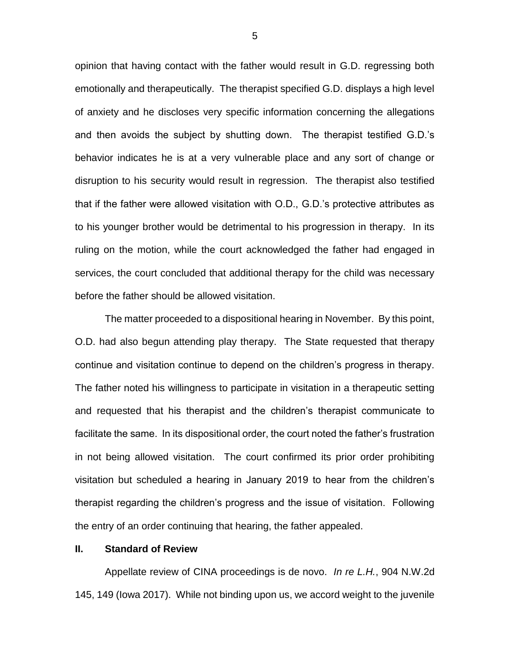opinion that having contact with the father would result in G.D. regressing both emotionally and therapeutically. The therapist specified G.D. displays a high level of anxiety and he discloses very specific information concerning the allegations and then avoids the subject by shutting down. The therapist testified G.D.'s behavior indicates he is at a very vulnerable place and any sort of change or disruption to his security would result in regression. The therapist also testified that if the father were allowed visitation with O.D., G.D.'s protective attributes as to his younger brother would be detrimental to his progression in therapy. In its ruling on the motion, while the court acknowledged the father had engaged in services, the court concluded that additional therapy for the child was necessary before the father should be allowed visitation.

The matter proceeded to a dispositional hearing in November. By this point, O.D. had also begun attending play therapy. The State requested that therapy continue and visitation continue to depend on the children's progress in therapy. The father noted his willingness to participate in visitation in a therapeutic setting and requested that his therapist and the children's therapist communicate to facilitate the same. In its dispositional order, the court noted the father's frustration in not being allowed visitation. The court confirmed its prior order prohibiting visitation but scheduled a hearing in January 2019 to hear from the children's therapist regarding the children's progress and the issue of visitation. Following the entry of an order continuing that hearing, the father appealed.

## **II. Standard of Review**

Appellate review of CINA proceedings is de novo. *In re L.H.*, 904 N.W.2d 145, 149 (Iowa 2017). While not binding upon us, we accord weight to the juvenile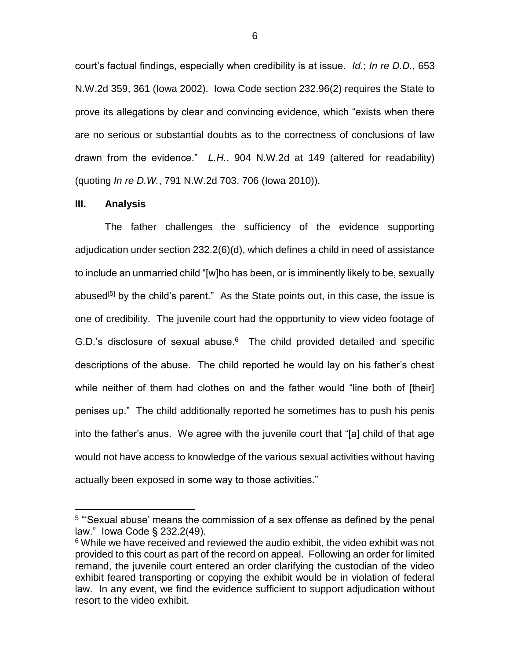court's factual findings, especially when credibility is at issue. *Id.*; *In re D.D.*, 653 N.W.2d 359, 361 (Iowa 2002). Iowa Code section 232.96(2) requires the State to prove its allegations by clear and convincing evidence, which "exists when there are no serious or substantial doubts as to the correctness of conclusions of law drawn from the evidence." *L.H.*, 904 N.W.2d at 149 (altered for readability) (quoting *In re D.W.*, 791 N.W.2d 703, 706 (Iowa 2010)).

#### **III. Analysis**

 $\overline{a}$ 

The father challenges the sufficiency of the evidence supporting adjudication under section 232.2(6)(d), which defines a child in need of assistance to include an unmarried child "[w]ho has been, or is imminently likely to be, sexually abused<sup>[5]</sup> by the child's parent." As the State points out, in this case, the issue is one of credibility. The juvenile court had the opportunity to view video footage of G.D.'s disclosure of sexual abuse. $6$  The child provided detailed and specific descriptions of the abuse. The child reported he would lay on his father's chest while neither of them had clothes on and the father would "line both of [their] penises up." The child additionally reported he sometimes has to push his penis into the father's anus. We agree with the juvenile court that "[a] child of that age would not have access to knowledge of the various sexual activities without having actually been exposed in some way to those activities."

<sup>&</sup>lt;sup>5</sup> "Sexual abuse' means the commission of a sex offense as defined by the penal law." Iowa Code § 232.2(49).

<sup>&</sup>lt;sup>6</sup> While we have received and reviewed the audio exhibit, the video exhibit was not provided to this court as part of the record on appeal. Following an order for limited remand, the juvenile court entered an order clarifying the custodian of the video exhibit feared transporting or copying the exhibit would be in violation of federal law. In any event, we find the evidence sufficient to support adjudication without resort to the video exhibit.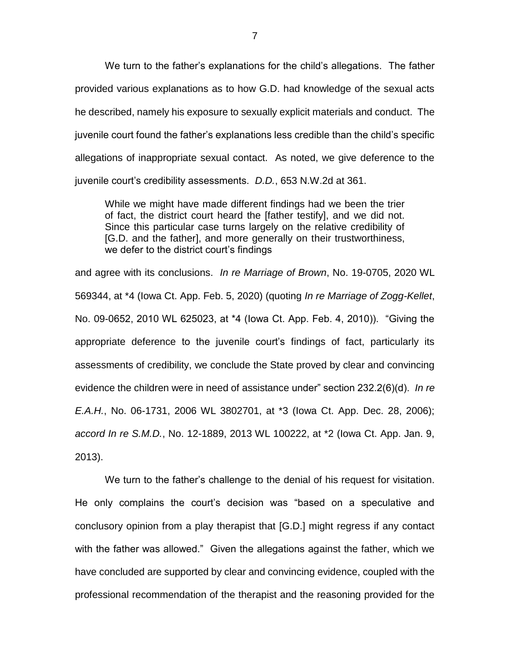We turn to the father's explanations for the child's allegations. The father provided various explanations as to how G.D. had knowledge of the sexual acts he described, namely his exposure to sexually explicit materials and conduct. The juvenile court found the father's explanations less credible than the child's specific allegations of inappropriate sexual contact. As noted, we give deference to the juvenile court's credibility assessments. *D.D.*, 653 N.W.2d at 361.

While we might have made different findings had we been the trier of fact, the district court heard the [father testify], and we did not. Since this particular case turns largely on the relative credibility of [G.D. and the father], and more generally on their trustworthiness, we defer to the district court's findings

and agree with its conclusions. *In re Marriage of Brown*, No. 19-0705, 2020 WL 569344, at \*4 (Iowa Ct. App. Feb. 5, 2020) (quoting *In re Marriage of Zogg-Kellet*, No. 09-0652, 2010 WL 625023, at \*4 (Iowa Ct. App. Feb. 4, 2010)). "Giving the appropriate deference to the juvenile court's findings of fact, particularly its assessments of credibility, we conclude the State proved by clear and convincing evidence the children were in need of assistance under" section 232.2(6)(d). *In re E.A.H.*, No. 06-1731, 2006 WL 3802701, at \*3 (Iowa Ct. App. Dec. 28, 2006); *accord In re S.M.D.*, No. 12-1889, 2013 WL 100222, at \*2 (Iowa Ct. App. Jan. 9, 2013).

We turn to the father's challenge to the denial of his request for visitation. He only complains the court's decision was "based on a speculative and conclusory opinion from a play therapist that [G.D.] might regress if any contact with the father was allowed." Given the allegations against the father, which we have concluded are supported by clear and convincing evidence, coupled with the professional recommendation of the therapist and the reasoning provided for the